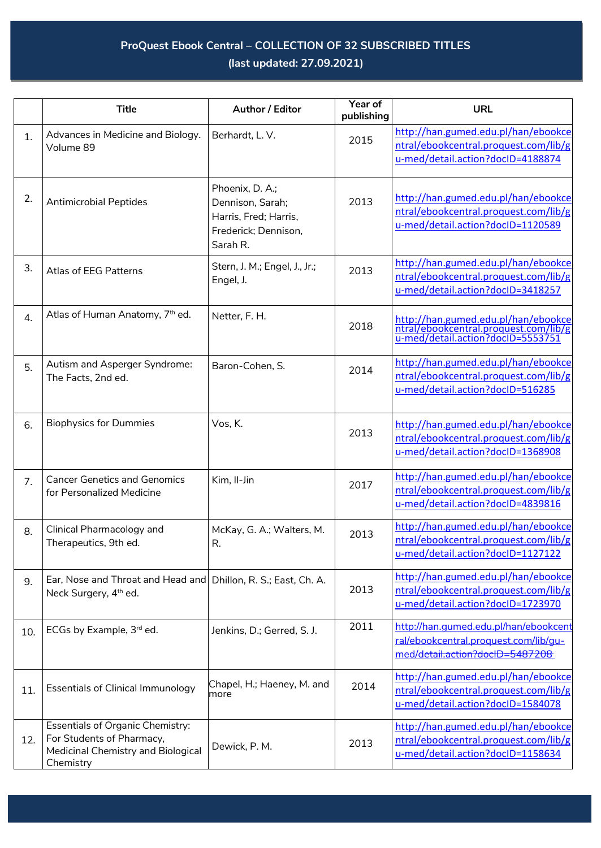## **ProQuest Ebook Central – COLLECTION OF 32 SUBSCRIBED TITLES (last updated: 27.09.2021)**

|     | <b>Title</b>                                                                                                            | Author / Editor                                                                                  | Year of<br>publishing | <b>URL</b>                                                                                                        |
|-----|-------------------------------------------------------------------------------------------------------------------------|--------------------------------------------------------------------------------------------------|-----------------------|-------------------------------------------------------------------------------------------------------------------|
| 1.  | Advances in Medicine and Biology.<br>Volume 89                                                                          | Berhardt, L.V.                                                                                   | 2015                  | http://han.gumed.edu.pl/han/ebookce<br>ntral/ebookcentral.proquest.com/lib/g<br>u-med/detail.action?docID=4188874 |
| 2.  | <b>Antimicrobial Peptides</b>                                                                                           | Phoenix, D. A.;<br>Dennison, Sarah;<br>Harris, Fred; Harris,<br>Frederick; Dennison,<br>Sarah R. | 2013                  | http://han.gumed.edu.pl/han/ebookce<br>ntral/ebookcentral.proquest.com/lib/g<br>u-med/detail.action?docID=1120589 |
| 3.  | Atlas of EEG Patterns                                                                                                   | Stern, J. M.; Engel, J., Jr.;<br>Engel, J.                                                       | 2013                  | http://han.gumed.edu.pl/han/ebookce<br>ntral/ebookcentral.proquest.com/lib/g<br>u-med/detail.action?docID=3418257 |
| 4.  | Atlas of Human Anatomy, 7th ed.                                                                                         | Netter, F. H.                                                                                    | 2018                  | http://han.gumed.edu.pl/han/ebookce<br>ntral/ebookcentral.proquest.com/lib/g<br>u-med/detail.action?docID=5553751 |
| 5.  | Autism and Asperger Syndrome:<br>The Facts, 2nd ed.                                                                     | Baron-Cohen, S.                                                                                  | 2014                  | http://han.gumed.edu.pl/han/ebookce<br>ntral/ebookcentral.proquest.com/lib/g<br>u-med/detail.action?docID=516285  |
| 6.  | <b>Biophysics for Dummies</b>                                                                                           | Vos, K.                                                                                          | 2013                  | http://han.gumed.edu.pl/han/ebookce<br>ntral/ebookcentral.proquest.com/lib/g<br>u-med/detail.action?docID=1368908 |
| 7.  | <b>Cancer Genetics and Genomics</b><br>for Personalized Medicine                                                        | Kim, Il-Jin                                                                                      | 2017                  | http://han.gumed.edu.pl/han/ebookce<br>ntral/ebookcentral.proquest.com/lib/g<br>u-med/detail.action?docID=4839816 |
| 8.  | Clinical Pharmacology and<br>Therapeutics, 9th ed.                                                                      | McKay, G. A.; Walters, M.<br>R.                                                                  | 2013                  | http://han.gumed.edu.pl/han/ebookce<br>ntral/ebookcentral.proquest.com/lib/g<br>u-med/detail.action?docID=1127122 |
| 9.  | Ear, Nose and Throat and Head and Dhillon, R. S.; East, Ch. A.<br>Neck Surgery, 4 <sup>th</sup> ed.                     |                                                                                                  | 2013                  | http://han.gumed.edu.pl/han/ebookce<br>ntral/ebookcentral.proquest.com/lib/g<br>u-med/detail.action?docID=1723970 |
| 10. | ECGs by Example, 3rd ed.                                                                                                | Jenkins, D.; Gerred, S. J.                                                                       | 2011                  | http://han.gumed.edu.pl/han/ebookcent<br>ral/ebookcentral.proquest.com/lib/qu-<br>med/detail.action?docID=5487208 |
| 11. | <b>Essentials of Clinical Immunology</b>                                                                                | Chapel, H.; Haeney, M. and<br>more                                                               | 2014                  | http://han.gumed.edu.pl/han/ebookce<br>ntral/ebookcentral.proquest.com/lib/g<br>u-med/detail.action?docID=1584078 |
| 12. | <b>Essentials of Organic Chemistry:</b><br>For Students of Pharmacy,<br>Medicinal Chemistry and Biological<br>Chemistry | Dewick, P. M.                                                                                    | 2013                  | http://han.gumed.edu.pl/han/ebookce<br>ntral/ebookcentral.proquest.com/lib/g<br>u-med/detail.action?docID=1158634 |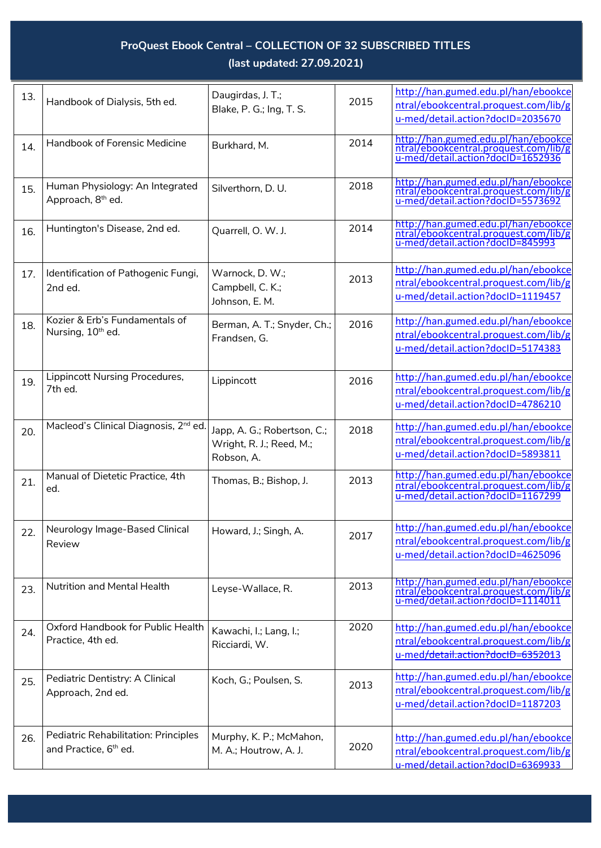## **ProQuest Ebook Central – COLLECTION OF 32 SUBSCRIBED TITLES (last updated: 27.09.2021)**

| 13. |                                                   | Daugirdas, J. T.;           | 2015 | http://han.gumed.edu.pl/han/ebookce                                                                               |
|-----|---------------------------------------------------|-----------------------------|------|-------------------------------------------------------------------------------------------------------------------|
|     | Handbook of Dialysis, 5th ed.                     | Blake, P. G.; Ing, T. S.    |      | ntral/ebookcentral.proquest.com/lib/g                                                                             |
|     |                                                   |                             |      | u-med/detail.action?docID=2035670                                                                                 |
|     |                                                   |                             |      |                                                                                                                   |
| 14. | Handbook of Forensic Medicine                     | Burkhard, M.                | 2014 | http://han.gumed.edu.pl/han/ebookce                                                                               |
|     |                                                   |                             |      | ntral/ebookcentral.proquest.com/lib/g<br>u-med/detail.action?docID=1652936                                        |
|     |                                                   |                             |      |                                                                                                                   |
|     |                                                   |                             |      |                                                                                                                   |
| 15. | Human Physiology: An Integrated                   | Silverthorn, D. U.          | 2018 | http://han.gumed.edu.pl/han/ebookce                                                                               |
|     | Approach, 8 <sup>th</sup> ed.                     |                             |      | ntral/ebookcentral.proquest.com/lib/g<br>u-med/detail.action?docID=5573692                                        |
|     |                                                   |                             |      |                                                                                                                   |
|     |                                                   |                             |      |                                                                                                                   |
| 16. | Huntington's Disease, 2nd ed.                     | Quarrell, O. W. J.          | 2014 | http://han.gumed.edu.pl/han/ebookce<br>ntral/ebookcentral.proquest.com/lib/g                                      |
|     |                                                   |                             |      | u-med/detail.action?docID=845993                                                                                  |
|     |                                                   |                             |      |                                                                                                                   |
|     |                                                   |                             |      |                                                                                                                   |
| 17. | Identification of Pathogenic Fungi,               | Warnock, D. W.;             | 2013 | http://han.gumed.edu.pl/han/ebookce                                                                               |
|     | 2nd ed.                                           | Campbell, C. K.;            |      | ntral/ebookcentral.proquest.com/lib/g                                                                             |
|     |                                                   |                             |      | u-med/detail.action?docID=1119457                                                                                 |
|     |                                                   | Johnson, E. M.              |      |                                                                                                                   |
|     | Kozier & Erb's Fundamentals of                    |                             | 2016 | http://han.gumed.edu.pl/han/ebookce                                                                               |
| 18. | Nursing, 10 <sup>th</sup> ed.                     | Berman, A. T.; Snyder, Ch.; |      |                                                                                                                   |
|     |                                                   | Frandsen, G.                |      | ntral/ebookcentral.proquest.com/lib/g                                                                             |
|     |                                                   |                             |      | u-med/detail.action?docID=5174383                                                                                 |
|     |                                                   |                             |      |                                                                                                                   |
|     | Lippincott Nursing Procedures,                    |                             |      | http://han.gumed.edu.pl/han/ebookce                                                                               |
| 19. | 7th ed.                                           | Lippincott                  | 2016 |                                                                                                                   |
|     |                                                   |                             |      | ntral/ebookcentral.proquest.com/lib/g                                                                             |
|     |                                                   |                             |      | u-med/detail.action?docID=4786210                                                                                 |
|     |                                                   |                             |      |                                                                                                                   |
| 20. | Macleod's Clinical Diagnosis, 2 <sup>nd</sup> ed. | Japp, A. G.; Robertson, C.; | 2018 | http://han.gumed.edu.pl/han/ebookce                                                                               |
|     |                                                   | Wright, R. J.; Reed, M.;    |      | ntral/ebookcentral.proquest.com/lib/g                                                                             |
|     |                                                   |                             |      | u-med/detail.action?docID=5893811                                                                                 |
|     |                                                   | Robson, A.                  |      |                                                                                                                   |
|     | Manual of Dietetic Practice, 4th                  |                             |      | http://han.gumed.edu.pl/han/ebookce                                                                               |
| 21. | ed.                                               | Thomas, B.; Bishop, J.      | 2013 | ntral/ebookcentral.proquest.com/lib/g                                                                             |
|     |                                                   |                             |      | u-med/detail.action?docID=1167299                                                                                 |
|     |                                                   |                             |      |                                                                                                                   |
|     |                                                   |                             |      |                                                                                                                   |
| 22. | Neurology Image-Based Clinical                    | Howard, J.; Singh, A.       |      | http://han.gumed.edu.pl/han/ebookce                                                                               |
|     | Review                                            |                             | 2017 | ntral/ebookcentral.proquest.com/lib/g                                                                             |
|     |                                                   |                             |      | u-med/detail.action?docID=4625096                                                                                 |
|     |                                                   |                             |      |                                                                                                                   |
|     |                                                   |                             |      |                                                                                                                   |
| 23. | Nutrition and Mental Health                       | Leyse-Wallace, R.           | 2013 | http://han.gumed.edu.pl/han/ebookce<br>ntral/ebookcentral.proquest.com/lib/g<br>u-med/detail.action?docID=1114011 |
|     |                                                   |                             |      |                                                                                                                   |
|     |                                                   |                             |      |                                                                                                                   |
|     |                                                   |                             |      |                                                                                                                   |
| 24. | Oxford Handbook for Public Health                 | Kawachi, I.; Lang, I.;      | 2020 | http://han.gumed.edu.pl/han/ebookce                                                                               |
|     | Practice, 4th ed.                                 | Ricciardi, W.               |      | ntral/ebookcentral.proquest.com/lib/g                                                                             |
|     |                                                   |                             |      | u-med/detail.action?docID=6352013                                                                                 |
|     |                                                   |                             |      |                                                                                                                   |
|     | Pediatric Dentistry: A Clinical                   | Koch, G.; Poulsen, S.       |      | http://han.gumed.edu.pl/han/ebookce                                                                               |
| 25. |                                                   |                             | 2013 | ntral/ebookcentral.proquest.com/lib/g                                                                             |
|     | Approach, 2nd ed.                                 |                             |      |                                                                                                                   |
|     |                                                   |                             |      | u-med/detail.action?docID=1187203                                                                                 |
|     |                                                   |                             |      |                                                                                                                   |
|     | Pediatric Rehabilitation: Principles              |                             |      |                                                                                                                   |
| 26. |                                                   | Murphy, K. P.; McMahon,     | 2020 | http://han.gumed.edu.pl/han/ebookce                                                                               |
|     | and Practice, 6 <sup>th</sup> ed.                 | M. A.; Houtrow, A. J.       |      | ntral/ebookcentral.proquest.com/lib/g                                                                             |
|     |                                                   |                             |      | u-med/detail.action?docID=6369933                                                                                 |